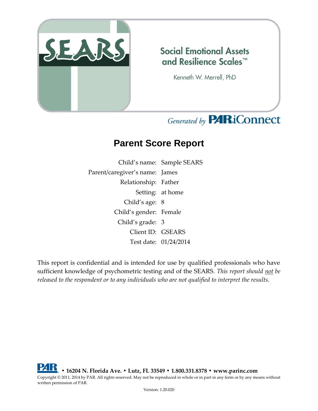

### **Social Emotional Assets** and Resilience Scales™

Kenneth W. Merrell, PhD

# Generated by **PARiConnect**

## **Parent Score Report**

Child's name: Sample SEARS Parent/caregiver's name: James Relationship: Father Setting: at home Child's age: 8 Child's gender: Female Child's grade: 3 Client ID: GSEARS Test date: 01/24/2014

This report is confidential and is intended for use by qualified professionals who have sufficient knowledge of psychometric testing and of the SEARS. *This report should not be released to the respondent or to any individuals who are not qualified to interpret the results.*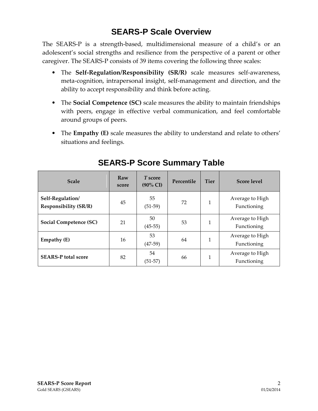### **SEARS-P Scale Overview**

The SEARS-P is a strength-based, multidimensional measure of a child's or an adolescent's social strengths and resilience from the perspective of a parent or other caregiver. The SEARS-P consists of 39 items covering the following three scales:

- The **Self-Regulation/Responsibility (SR/R)** scale measures self-awareness, meta-cognition, intrapersonal insight, self-management and direction, and the ability to accept responsibility and think before acting.
- The **Social Competence (SC)** scale measures the ability to maintain friendships with peers, engage in effective verbal communication, and feel comfortable around groups of peers.
- The **Empathy (E)** scale measures the ability to understand and relate to others' situations and feelings.

| <b>Scale</b>                                     | Raw<br>score | T score<br>$(90\% \text{ CI})$ | Percentile | <b>Tier</b> | <b>Score level</b>             |
|--------------------------------------------------|--------------|--------------------------------|------------|-------------|--------------------------------|
| Self-Regulation/<br><b>Responsibility (SR/R)</b> | 45           | 55<br>$(51-59)$                | 72         | 1           | Average to High<br>Functioning |
| Social Competence (SC)                           | 21           | 50<br>$(45-55)$                | 53         | 1           | Average to High<br>Functioning |
| Empathy (E)                                      | 16           | 53<br>$(47-59)$                | 64         | 1           | Average to High<br>Functioning |
| <b>SEARS-P</b> total score                       | 82           | 54<br>$(51-57)$                | 66         | 1           | Average to High<br>Functioning |

#### **SEARS-P Score Summary Table**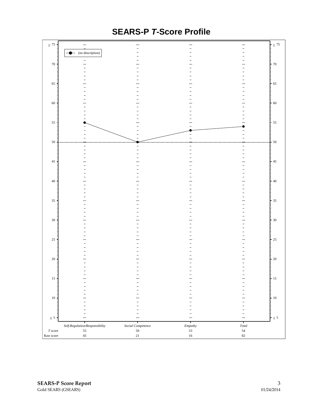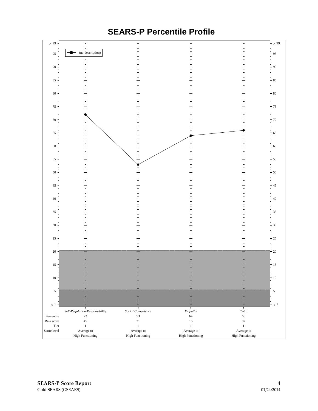